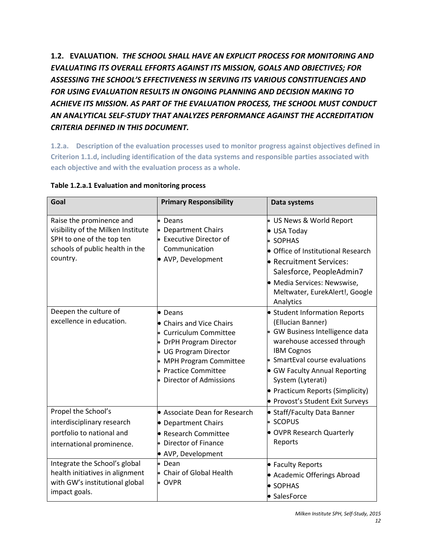**1.2. EVALUATION.** *THE SCHOOL SHALL HAVE AN EXPLICIT PROCESS FOR MONITORING AND EVALUATING ITS OVERALL EFFORTS AGAINST ITS MISSION, GOALS AND OBJECTIVES; FOR ASSESSING THE SCHOOL'S EFFECTIVENESS IN SERVING ITS VARIOUS CONSTITUENCIES AND FOR USING EVALUATION RESULTS IN ONGOING PLANNING AND DECISION MAKING TO ACHIEVE ITS MISSION. AS PART OF THE EVALUATION PROCESS, THE SCHOOL MUST CONDUCT AN ANALYTICAL SELF-STUDY THAT ANALYZES PERFORMANCE AGAINST THE ACCREDITATION CRITERIA DEFINED IN THIS DOCUMENT.*

**1.2.a. Description of the evaluation processes used to monitor progress against objectives defined in Criterion 1.1.d, including identification of the data systems and responsible parties associated with each objective and with the evaluation process as a whole.** 

| Goal                                                                                                                                       | <b>Primary Responsibility</b>                                                                                                                                                                  | Data systems                                                                                                                                                                                                                                                                                             |
|--------------------------------------------------------------------------------------------------------------------------------------------|------------------------------------------------------------------------------------------------------------------------------------------------------------------------------------------------|----------------------------------------------------------------------------------------------------------------------------------------------------------------------------------------------------------------------------------------------------------------------------------------------------------|
| Raise the prominence and<br>visibility of the Milken Institute<br>SPH to one of the top ten<br>schools of public health in the<br>country. | Deans<br>• Department Chairs<br><b>Executive Director of</b><br>Communication<br>• AVP, Development                                                                                            | US News & World Report<br>• USA Today<br><b>SOPHAS</b><br>• Office of Institutional Research<br>• Recruitment Services:<br>Salesforce, PeopleAdmin7<br>• Media Services: Newswise,<br>Meltwater, EurekAlert!, Google<br>Analytics                                                                        |
| Deepen the culture of<br>excellence in education.                                                                                          | • Deans<br>• Chairs and Vice Chairs<br>Curriculum Committee<br>• DrPH Program Director<br>• UG Program Director<br>• MPH Program Committee<br>· Practice Committee<br>• Director of Admissions | • Student Information Reports<br>(Ellucian Banner)<br>• GW Business Intelligence data<br>warehouse accessed through<br><b>IBM Cognos</b><br>• SmartEval course evaluations<br>• GW Faculty Annual Reporting<br>System (Lyterati)<br>• Practicum Reports (Simplicity)<br>• Provost's Student Exit Surveys |
| Propel the School's<br>interdisciplinary research<br>portfolio to national and<br>international prominence.                                | Associate Dean for Research<br>• Department Chairs<br>• Research Committee<br>• Director of Finance<br>• AVP, Development                                                                      | • Staff/Faculty Data Banner<br><b>SCOPUS</b><br>• OVPR Research Quarterly<br>Reports                                                                                                                                                                                                                     |
| Integrate the School's global<br>health initiatives in alignment<br>with GW's institutional global<br>impact goals.                        | • Dean<br>• Chair of Global Health<br>$\bullet$ OVPR                                                                                                                                           | • Faculty Reports<br>• Academic Offerings Abroad<br>• SOPHAS<br>• SalesForce                                                                                                                                                                                                                             |

### **Table 1.2.a.1 Evaluation and monitoring process**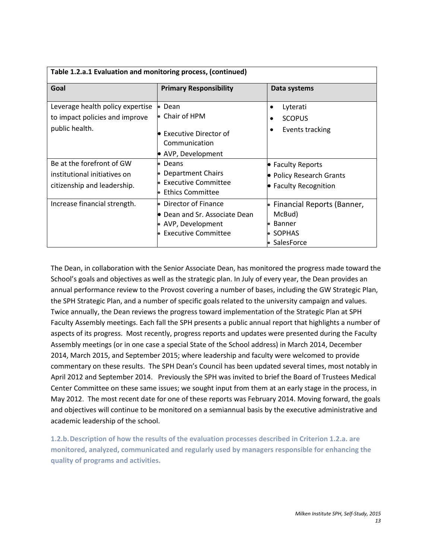| Table 1.2.a.1 Evaluation and monitoring process, (continued)                             |                                                                                                                      |                                                                                      |  |  |  |  |
|------------------------------------------------------------------------------------------|----------------------------------------------------------------------------------------------------------------------|--------------------------------------------------------------------------------------|--|--|--|--|
| Goal                                                                                     | <b>Primary Responsibility</b>                                                                                        | Data systems                                                                         |  |  |  |  |
| Leverage health policy expertise<br>to impact policies and improve<br>public health.     | Dean<br>Chair of HPM<br><b>•</b> Executive Director of<br>Communication                                              | Lyterati<br><b>SCOPUS</b><br>Events tracking<br>٠                                    |  |  |  |  |
| Be at the forefront of GW<br>institutional initiatives on<br>citizenship and leadership. | AVP, Development<br>Deans<br>$\bullet$<br>Department Chairs<br><b>Executive Committee</b><br><b>Ethics Committee</b> | • Faculty Reports<br>• Policy Research Grants<br>• Faculty Recognition               |  |  |  |  |
| Increase financial strength.                                                             | Director of Finance<br>• Dean and Sr. Associate Dean<br>AVP, Development<br><b>Executive Committee</b>               | Financial Reports (Banner,<br>McBud)<br><b>Banner</b><br><b>SOPHAS</b><br>SalesForce |  |  |  |  |

The Dean, in collaboration with the Senior Associate Dean, has monitored the progress made toward the School's goals and objectives as well as the strategic plan. In July of every year, the Dean provides an annual performance review to the Provost covering a number of bases, including the GW Strategic Plan, the SPH Strategic Plan, and a number of specific goals related to the university campaign and values. Twice annually, the Dean reviews the progress toward implementation of the Strategic Plan at SPH Faculty Assembly meetings. Each fall the SPH presents a public annual report that highlights a number of aspects of its progress. Most recently, progress reports and updates were presented during the Faculty Assembly meetings (or in one case a special State of the School address) in March 2014, December 2014, March 2015, and September 2015; where leadership and faculty were welcomed to provide commentary on these results. The SPH Dean's Council has been updated several times, most notably in April 2012 and September 2014. Previously the SPH was invited to brief the Board of Trustees Medical Center Committee on these same issues; we sought input from them at an early stage in the process, in May 2012. The most recent date for one of these reports was February 2014. Moving forward, the goals and objectives will continue to be monitored on a semiannual basis by the executive administrative and academic leadership of the school.

**1.2.b.Description of how the results of the evaluation processes described in Criterion 1.2.a. are monitored, analyzed, communicated and regularly used by managers responsible for enhancing the quality of programs and activities.**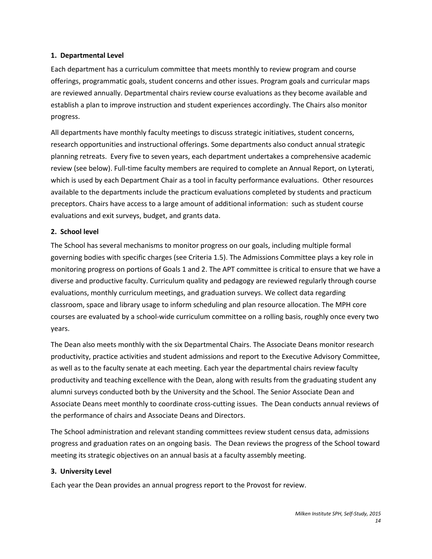#### **1. Departmental Level**

Each department has a curriculum committee that meets monthly to review program and course offerings, programmatic goals, student concerns and other issues. Program goals and curricular maps are reviewed annually. Departmental chairs review course evaluations as they become available and establish a plan to improve instruction and student experiences accordingly. The Chairs also monitor progress.

All departments have monthly faculty meetings to discuss strategic initiatives, student concerns, research opportunities and instructional offerings. Some departments also conduct annual strategic planning retreats. Every five to seven years, each department undertakes a comprehensive academic review (see below). Full-time faculty members are required to complete an Annual Report, on Lyterati, which is used by each Department Chair as a tool in faculty performance evaluations. Other resources available to the departments include the practicum evaluations completed by students and practicum preceptors. Chairs have access to a large amount of additional information: such as student course evaluations and exit surveys, budget, and grants data.

#### **2. School level**

The School has several mechanisms to monitor progress on our goals, including multiple formal governing bodies with specific charges (see Criteria 1.5). The Admissions Committee plays a key role in monitoring progress on portions of Goals 1 and 2. The APT committee is critical to ensure that we have a diverse and productive faculty. Curriculum quality and pedagogy are reviewed regularly through course evaluations, monthly curriculum meetings, and graduation surveys. We collect data regarding classroom, space and library usage to inform scheduling and plan resource allocation. The MPH core courses are evaluated by a school-wide curriculum committee on a rolling basis, roughly once every two years.

The Dean also meets monthly with the six Departmental Chairs. The Associate Deans monitor research productivity, practice activities and student admissions and report to the Executive Advisory Committee, as well as to the faculty senate at each meeting. Each year the departmental chairs review faculty productivity and teaching excellence with the Dean, along with results from the graduating student any alumni surveys conducted both by the University and the School. The Senior Associate Dean and Associate Deans meet monthly to coordinate cross-cutting issues. The Dean conducts annual reviews of the performance of chairs and Associate Deans and Directors.

The School administration and relevant standing committees review student census data, admissions progress and graduation rates on an ongoing basis. The Dean reviews the progress of the School toward meeting its strategic objectives on an annual basis at a faculty assembly meeting.

#### **3. University Level**

Each year the Dean provides an annual progress report to the Provost for review.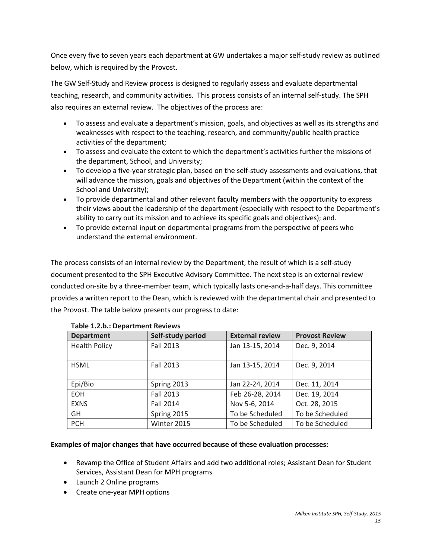Once every five to seven years each department at GW undertakes a major self-study review as outlined below, which is required by the Provost.

The GW Self-Study and Review process is designed to regularly assess and evaluate departmental teaching, research, and community activities. This process consists of an internal self-study. The SPH also requires an external review. The objectives of the process are:

- To assess and evaluate a department's mission, goals, and objectives as well as its strengths and weaknesses with respect to the teaching, research, and community/public health practice activities of the department;
- To assess and evaluate the extent to which the department's activities further the missions of the department, School, and University;
- To develop a five-year strategic plan, based on the self-study assessments and evaluations, that will advance the mission, goals and objectives of the Department (within the context of the School and University);
- To provide departmental and other relevant faculty members with the opportunity to express their views about the leadership of the department (especially with respect to the Department's ability to carry out its mission and to achieve its specific goals and objectives); and.
- To provide external input on departmental programs from the perspective of peers who understand the external environment.

The process consists of an internal review by the Department, the result of which is a self-study document presented to the SPH Executive Advisory Committee. The next step is an external review conducted on-site by a three-member team, which typically lasts one-and-a-half days. This committee provides a written report to the Dean, which is reviewed with the departmental chair and presented to the Provost. The table below presents our progress to date:

| <b>Department</b>    | Self-study period | <b>External review</b> | <b>Provost Review</b> |
|----------------------|-------------------|------------------------|-----------------------|
| <b>Health Policy</b> | <b>Fall 2013</b>  | Jan 13-15, 2014        | Dec. 9, 2014          |
| <b>HSML</b>          | <b>Fall 2013</b>  | Jan 13-15, 2014        | Dec. 9, 2014          |
| Epi/Bio              | Spring 2013       | Jan 22-24, 2014        | Dec. 11, 2014         |
| <b>EOH</b>           | <b>Fall 2013</b>  | Feb 26-28, 2014        | Dec. 19, 2014         |
| <b>EXNS</b>          | <b>Fall 2014</b>  | Nov 5-6, 2014          | Oct. 28, 2015         |
| GH.                  | Spring 2015       | To be Scheduled        | To be Scheduled       |
| <b>PCH</b>           | Winter 2015       | To be Scheduled        | To be Scheduled       |

# **Table 1.2.b.: Department Reviews**

#### **Examples of major changes that have occurred because of these evaluation processes:**

- Revamp the Office of Student Affairs and add two additional roles; Assistant Dean for Student Services, Assistant Dean for MPH programs
- Launch 2 Online programs
- Create one-year MPH options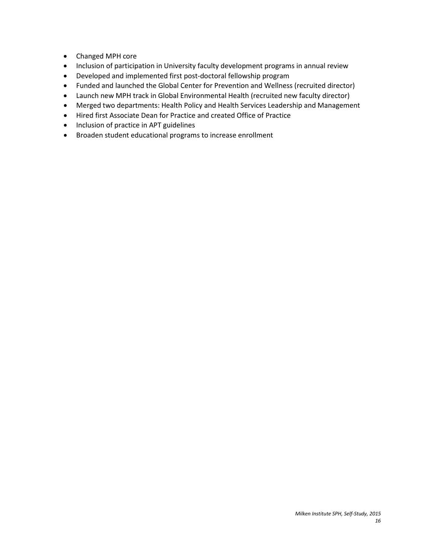- Changed MPH core
- Inclusion of participation in University faculty development programs in annual review
- Developed and implemented first post-doctoral fellowship program
- Funded and launched the Global Center for Prevention and Wellness (recruited director)
- Launch new MPH track in Global Environmental Health (recruited new faculty director)
- Merged two departments: Health Policy and Health Services Leadership and Management
- Hired first Associate Dean for Practice and created Office of Practice
- Inclusion of practice in APT guidelines
- Broaden student educational programs to increase enrollment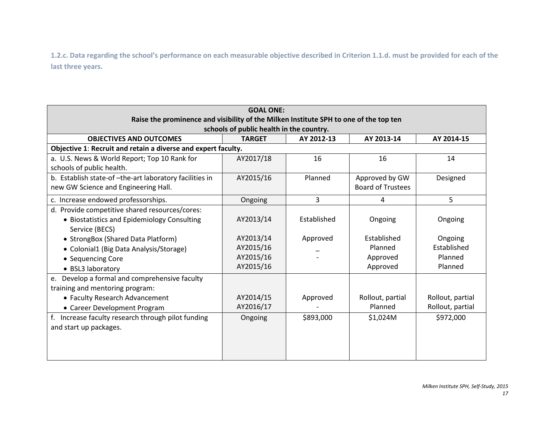**1.2.c. Data regarding the school's performance on each measurable objective described in Criterion 1.1.d. must be provided for each of the last three years.** 

| <b>GOAL ONE:</b>                                                                                                                  |               |             |                          |                  |  |
|-----------------------------------------------------------------------------------------------------------------------------------|---------------|-------------|--------------------------|------------------|--|
| Raise the prominence and visibility of the Milken Institute SPH to one of the top ten<br>schools of public health in the country. |               |             |                          |                  |  |
| <b>OBJECTIVES AND OUTCOMES</b>                                                                                                    | <b>TARGET</b> | AY 2012-13  | AY 2013-14               | AY 2014-15       |  |
| Objective 1: Recruit and retain a diverse and expert faculty.                                                                     |               |             |                          |                  |  |
| a. U.S. News & World Report; Top 10 Rank for                                                                                      | AY2017/18     | 16          | 16                       | 14               |  |
| schools of public health.                                                                                                         |               |             |                          |                  |  |
| b. Establish state-of-the-art laboratory facilities in                                                                            | AY2015/16     | Planned     | Approved by GW           | Designed         |  |
| new GW Science and Engineering Hall.                                                                                              |               |             | <b>Board of Trustees</b> |                  |  |
| c. Increase endowed professorships.                                                                                               | Ongoing       | 3           | 4                        | 5                |  |
| d. Provide competitive shared resources/cores:                                                                                    |               |             |                          |                  |  |
| • Biostatistics and Epidemiology Consulting                                                                                       | AY2013/14     | Established | Ongoing                  | Ongoing          |  |
| Service (BECS)                                                                                                                    |               |             |                          |                  |  |
| • StrongBox (Shared Data Platform)                                                                                                | AY2013/14     | Approved    | Established              | Ongoing          |  |
| • Colonial1 (Big Data Analysis/Storage)                                                                                           | AY2015/16     |             | Planned                  | Established      |  |
| • Sequencing Core                                                                                                                 | AY2015/16     |             | Approved                 | Planned          |  |
| • BSL3 laboratory                                                                                                                 | AY2015/16     |             | Approved                 | Planned          |  |
| Develop a formal and comprehensive faculty<br>e.                                                                                  |               |             |                          |                  |  |
| training and mentoring program:                                                                                                   |               |             |                          |                  |  |
| • Faculty Research Advancement                                                                                                    | AY2014/15     | Approved    | Rollout, partial         | Rollout, partial |  |
| • Career Development Program                                                                                                      | AY2016/17     |             | Planned                  | Rollout, partial |  |
| f. Increase faculty research through pilot funding                                                                                | Ongoing       | \$893,000   | \$1,024M                 | \$972,000        |  |
| and start up packages.                                                                                                            |               |             |                          |                  |  |
|                                                                                                                                   |               |             |                          |                  |  |
|                                                                                                                                   |               |             |                          |                  |  |
|                                                                                                                                   |               |             |                          |                  |  |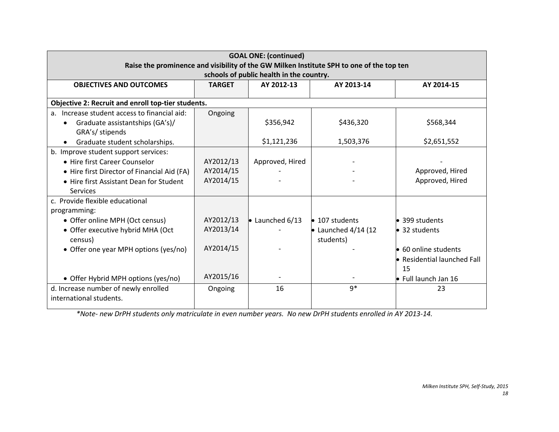| <b>GOAL ONE: (continued)</b><br>Raise the prominence and visibility of the GW Milken Institute SPH to one of the top ten |               |                                          |                             |                              |  |  |
|--------------------------------------------------------------------------------------------------------------------------|---------------|------------------------------------------|-----------------------------|------------------------------|--|--|
|                                                                                                                          |               | schools of public health in the country. |                             |                              |  |  |
| <b>OBJECTIVES AND OUTCOMES</b>                                                                                           | <b>TARGET</b> | AY 2012-13                               | AY 2013-14                  | AY 2014-15                   |  |  |
| Objective 2: Recruit and enroll top-tier students.                                                                       |               |                                          |                             |                              |  |  |
| Increase student access to financial aid:<br>a <sub>z</sub>                                                              | Ongoing       |                                          |                             |                              |  |  |
| Graduate assistantships (GA's)/<br>$\bullet$                                                                             |               | \$356,942                                | \$436,320                   | \$568,344                    |  |  |
| GRA's/ stipends                                                                                                          |               |                                          |                             |                              |  |  |
| Graduate student scholarships.                                                                                           |               | \$1,121,236                              | 1,503,376                   | \$2,651,552                  |  |  |
| b. Improve student support services:                                                                                     |               |                                          |                             |                              |  |  |
| • Hire first Career Counselor                                                                                            | AY2012/13     | Approved, Hired                          |                             |                              |  |  |
| • Hire first Director of Financial Aid (FA)                                                                              | AY2014/15     |                                          |                             | Approved, Hired              |  |  |
| • Hire first Assistant Dean for Student                                                                                  | AY2014/15     |                                          |                             | Approved, Hired              |  |  |
| <b>Services</b>                                                                                                          |               |                                          |                             |                              |  |  |
| c. Provide flexible educational                                                                                          |               |                                          |                             |                              |  |  |
| programming:                                                                                                             |               |                                          |                             |                              |  |  |
| • Offer online MPH (Oct census)                                                                                          | AY2012/13     | $\bullet$ Launched 6/13                  | $\bullet$ 107 students      | • 399 students               |  |  |
| • Offer executive hybrid MHA (Oct                                                                                        | AY2013/14     |                                          | $\bullet$ Launched 4/14 (12 | • 32 students                |  |  |
| census)                                                                                                                  |               |                                          | students)                   |                              |  |  |
| • Offer one year MPH options (yes/no)                                                                                    | AY2014/15     |                                          |                             | $\bullet$ 60 online students |  |  |
|                                                                                                                          |               |                                          |                             | • Residential launched Fall  |  |  |
|                                                                                                                          |               |                                          |                             | 15                           |  |  |
| • Offer Hybrid MPH options (yes/no)                                                                                      | AY2015/16     |                                          |                             | ● Full launch Jan 16         |  |  |
| d. Increase number of newly enrolled                                                                                     | Ongoing       | 16                                       | $9*$                        | 23                           |  |  |
| international students.                                                                                                  |               |                                          |                             |                              |  |  |
|                                                                                                                          |               |                                          |                             |                              |  |  |

*\*Note- new DrPH students only matriculate in even number years. No new DrPH students enrolled in AY 2013-14.*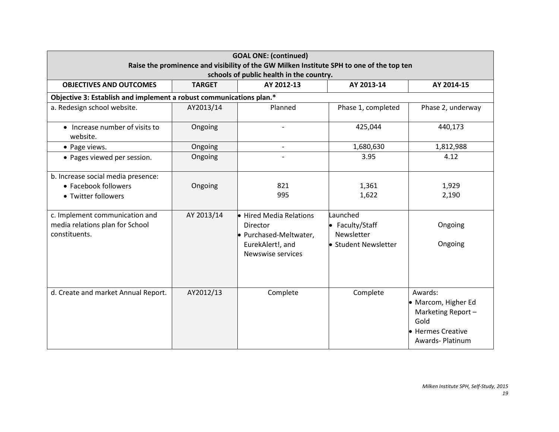| <b>GOAL ONE: (continued)</b><br>Raise the prominence and visibility of the GW Milken Institute SPH to one of the top ten<br>schools of public health in the country.    |                       |                                                                                                 |                                                                                   |                                                                                                      |  |  |  |  |
|-------------------------------------------------------------------------------------------------------------------------------------------------------------------------|-----------------------|-------------------------------------------------------------------------------------------------|-----------------------------------------------------------------------------------|------------------------------------------------------------------------------------------------------|--|--|--|--|
| <b>OBJECTIVES AND OUTCOMES</b>                                                                                                                                          | <b>TARGET</b>         | AY 2012-13                                                                                      | AY 2013-14                                                                        | AY 2014-15                                                                                           |  |  |  |  |
| Objective 3: Establish and implement a robust communications plan.*                                                                                                     |                       |                                                                                                 |                                                                                   |                                                                                                      |  |  |  |  |
| a. Redesign school website.                                                                                                                                             | AY2013/14             | Planned                                                                                         | Phase 1, completed                                                                | Phase 2, underway                                                                                    |  |  |  |  |
| • Increase number of visits to<br>website.                                                                                                                              | Ongoing               |                                                                                                 | 425,044                                                                           | 440,173                                                                                              |  |  |  |  |
| • Page views.                                                                                                                                                           | Ongoing               | $\overline{\phantom{a}}$                                                                        | 1,680,630                                                                         | 1,812,988                                                                                            |  |  |  |  |
| • Pages viewed per session.                                                                                                                                             | Ongoing               |                                                                                                 | 3.95                                                                              | 4.12                                                                                                 |  |  |  |  |
| b. Increase social media presence:<br>• Facebook followers<br>• Twitter followers<br>c. Implement communication and<br>media relations plan for School<br>constituents. | Ongoing<br>AY 2013/14 | 821<br>995<br>• Hired Media Relations<br>Director<br>• Purchased-Meltwater,<br>EurekAlert!, and | 1,361<br>1,622<br>Launched<br>• Faculty/Staff<br>Newsletter<br>Student Newsletter | 1,929<br>2,190<br>Ongoing<br>Ongoing                                                                 |  |  |  |  |
|                                                                                                                                                                         |                       | Newswise services                                                                               |                                                                                   |                                                                                                      |  |  |  |  |
| d. Create and market Annual Report.                                                                                                                                     | AY2012/13             | Complete                                                                                        | Complete                                                                          | Awards:<br>• Marcom, Higher Ed<br>Marketing Report-<br>Gold<br>• Hermes Creative<br>Awards- Platinum |  |  |  |  |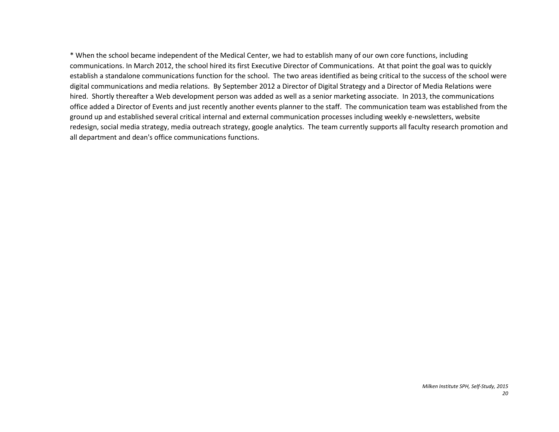\* When the school became independent of the Medical Center, we had to establish many of our own core functions, including communications. In March 2012, the school hired its first Executive Director of Communications. At that point the goal was to quickly establish a standalone communications function for the school. The two areas identified as being critical to the success of the school were digital communications and media relations. By September 2012 a Director of Digital Strategy and a Director of Media Relations were hired. Shortly thereafter a Web development person was added as well as a senior marketing associate. In 2013, the communications office added a Director of Events and just recently another events planner to the staff. The communication team was established from the ground up and established several critical internal and external communication processes including weekly e-newsletters, website redesign, social media strategy, media outreach strategy, google analytics. The team currently supports all faculty research promotion and all department and dean's office communications functions.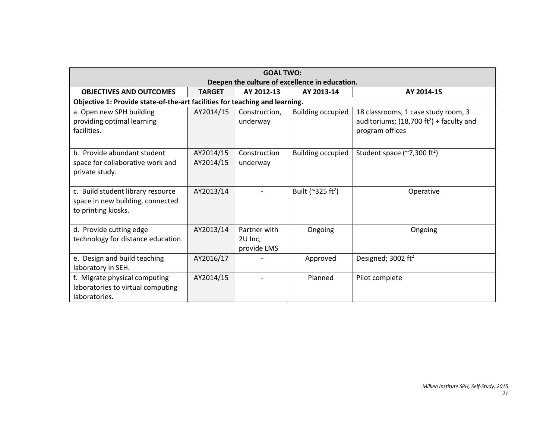|                                                                                              | <b>GOAL TWO:</b>                               |                                        |                                        |                                                                                                              |  |  |  |  |
|----------------------------------------------------------------------------------------------|------------------------------------------------|----------------------------------------|----------------------------------------|--------------------------------------------------------------------------------------------------------------|--|--|--|--|
|                                                                                              | Deepen the culture of excellence in education. |                                        |                                        |                                                                                                              |  |  |  |  |
| <b>OBJECTIVES AND OUTCOMES</b>                                                               | <b>TARGET</b>                                  | AY 2012-13                             | AY 2013-14                             | AY 2014-15                                                                                                   |  |  |  |  |
| Objective 1: Provide state-of-the-art facilities for teaching and learning.                  |                                                |                                        |                                        |                                                                                                              |  |  |  |  |
| a. Open new SPH building<br>providing optimal learning<br>facilities.                        | AY2014/15                                      | Construction,<br>underway              | <b>Building occupied</b>               | 18 classrooms, 1 case study room, 3<br>auditoriums; $(18,700 \text{ ft}^2)$ + faculty and<br>program offices |  |  |  |  |
| b. Provide abundant student<br>space for collaborative work and<br>private study.            | AY2014/15<br>AY2014/15                         | Construction<br>underway               | <b>Building occupied</b>               | Student space $(\sim 7,300 \text{ ft}^2)$                                                                    |  |  |  |  |
| c. Build student library resource<br>space in new building, connected<br>to printing kiosks. | AY2013/14                                      |                                        | Built ( $^{\sim}325$ ft <sup>2</sup> ) | Operative                                                                                                    |  |  |  |  |
| d. Provide cutting edge<br>technology for distance education.                                | AY2013/14                                      | Partner with<br>2U Inc,<br>provide LMS | Ongoing                                | Ongoing                                                                                                      |  |  |  |  |
| e. Design and build teaching<br>laboratory in SEH.                                           | AY2016/17                                      |                                        | Approved                               | Designed; 3002 ft <sup>2</sup>                                                                               |  |  |  |  |
| f. Migrate physical computing<br>laboratories to virtual computing<br>laboratories.          | AY2014/15                                      |                                        | Planned                                | Pilot complete                                                                                               |  |  |  |  |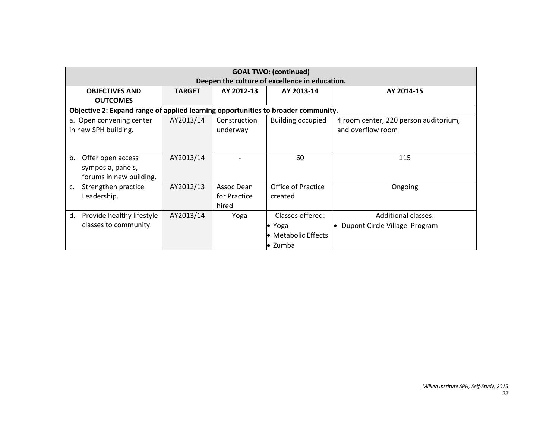|                                                                                   |                                                |              | <b>GOAL TWO: (continued)</b> |                                       |  |  |  |  |
|-----------------------------------------------------------------------------------|------------------------------------------------|--------------|------------------------------|---------------------------------------|--|--|--|--|
|                                                                                   | Deepen the culture of excellence in education. |              |                              |                                       |  |  |  |  |
| <b>OBJECTIVES AND</b>                                                             | <b>TARGET</b>                                  | AY 2012-13   | AY 2013-14                   | AY 2014-15                            |  |  |  |  |
| <b>OUTCOMES</b>                                                                   |                                                |              |                              |                                       |  |  |  |  |
| Objective 2: Expand range of applied learning opportunities to broader community. |                                                |              |                              |                                       |  |  |  |  |
| a. Open convening center                                                          | AY2013/14                                      | Construction | <b>Building occupied</b>     | 4 room center, 220 person auditorium, |  |  |  |  |
| in new SPH building.                                                              |                                                | underway     |                              | and overflow room                     |  |  |  |  |
|                                                                                   |                                                |              |                              |                                       |  |  |  |  |
|                                                                                   |                                                |              |                              |                                       |  |  |  |  |
| Offer open access<br>b.                                                           | AY2013/14                                      |              | 60                           | 115                                   |  |  |  |  |
| symposia, panels,                                                                 |                                                |              |                              |                                       |  |  |  |  |
| forums in new building.                                                           |                                                |              |                              |                                       |  |  |  |  |
| Strengthen practice<br>c.                                                         | AY2012/13                                      | Assoc Dean   | <b>Office of Practice</b>    | Ongoing                               |  |  |  |  |
| Leadership.                                                                       |                                                | for Practice | created                      |                                       |  |  |  |  |
|                                                                                   |                                                | hired        |                              |                                       |  |  |  |  |
| Provide healthy lifestyle<br>d.                                                   | AY2013/14                                      | Yoga         | Classes offered:             | <b>Additional classes:</b>            |  |  |  |  |
| classes to community.                                                             |                                                |              | $\bullet$ Yoga               | Dupont Circle Village Program         |  |  |  |  |
|                                                                                   |                                                |              | • Metabolic Effects          |                                       |  |  |  |  |
|                                                                                   |                                                |              | • Zumba                      |                                       |  |  |  |  |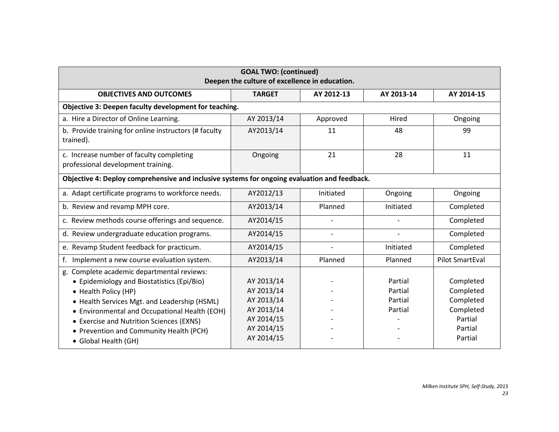| <b>GOAL TWO: (continued)</b><br>Deepen the culture of excellence in education.                                                                                                                                                                                                                           |                                                                                  |                          |                                          |                                                                        |  |
|----------------------------------------------------------------------------------------------------------------------------------------------------------------------------------------------------------------------------------------------------------------------------------------------------------|----------------------------------------------------------------------------------|--------------------------|------------------------------------------|------------------------------------------------------------------------|--|
| <b>OBJECTIVES AND OUTCOMES</b>                                                                                                                                                                                                                                                                           | <b>TARGET</b>                                                                    | AY 2012-13               | AY 2013-14                               | AY 2014-15                                                             |  |
| Objective 3: Deepen faculty development for teaching.                                                                                                                                                                                                                                                    |                                                                                  |                          |                                          |                                                                        |  |
| a. Hire a Director of Online Learning.                                                                                                                                                                                                                                                                   | AY 2013/14                                                                       | Approved                 | Hired                                    | Ongoing                                                                |  |
| b. Provide training for online instructors (# faculty<br>trained).                                                                                                                                                                                                                                       | AY2013/14                                                                        | 11                       | 48                                       | 99                                                                     |  |
| c. Increase number of faculty completing                                                                                                                                                                                                                                                                 | Ongoing                                                                          | 21                       | 28                                       | 11                                                                     |  |
| professional development training.                                                                                                                                                                                                                                                                       |                                                                                  |                          |                                          |                                                                        |  |
| Objective 4: Deploy comprehensive and inclusive systems for ongoing evaluation and feedback.                                                                                                                                                                                                             |                                                                                  |                          |                                          |                                                                        |  |
| a. Adapt certificate programs to workforce needs.                                                                                                                                                                                                                                                        | AY2012/13                                                                        | Initiated                | Ongoing                                  | Ongoing                                                                |  |
| b. Review and revamp MPH core.                                                                                                                                                                                                                                                                           | AY2013/14                                                                        | Planned                  | Initiated                                | Completed                                                              |  |
| c. Review methods course offerings and sequence.                                                                                                                                                                                                                                                         | AY2014/15                                                                        | $\overline{a}$           |                                          | Completed                                                              |  |
| d. Review undergraduate education programs.                                                                                                                                                                                                                                                              | AY2014/15                                                                        | $\overline{a}$           |                                          | Completed                                                              |  |
| e. Revamp Student feedback for practicum.                                                                                                                                                                                                                                                                | AY2014/15                                                                        | $\overline{\phantom{a}}$ | Initiated                                | Completed                                                              |  |
| f. Implement a new course evaluation system.                                                                                                                                                                                                                                                             | AY2013/14                                                                        | Planned                  | Planned                                  | <b>Pilot SmartEval</b>                                                 |  |
| g. Complete academic departmental reviews:<br>• Epidemiology and Biostatistics (Epi/Bio)<br>• Health Policy (HP)<br>• Health Services Mgt. and Leadership (HSML)<br>• Environmental and Occupational Health (EOH)<br>• Exercise and Nutrition Sciences (EXNS)<br>• Prevention and Community Health (PCH) | AY 2013/14<br>AY 2013/14<br>AY 2013/14<br>AY 2013/14<br>AY 2014/15<br>AY 2014/15 |                          | Partial<br>Partial<br>Partial<br>Partial | Completed<br>Completed<br>Completed<br>Completed<br>Partial<br>Partial |  |
| • Global Health (GH)                                                                                                                                                                                                                                                                                     | AY 2014/15                                                                       |                          |                                          | Partial                                                                |  |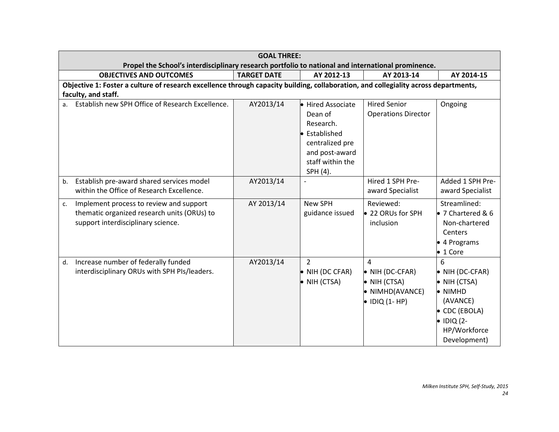| <b>GOAL THREE:</b><br>Propel the School's interdisciplinary research portfolio to national and international prominence.                                   |                    |                                                                                                                                      |                                                                                                               |                                                                                                                                                                    |  |
|------------------------------------------------------------------------------------------------------------------------------------------------------------|--------------------|--------------------------------------------------------------------------------------------------------------------------------------|---------------------------------------------------------------------------------------------------------------|--------------------------------------------------------------------------------------------------------------------------------------------------------------------|--|
| <b>OBJECTIVES AND OUTCOMES</b>                                                                                                                             | <b>TARGET DATE</b> | AY 2012-13                                                                                                                           | AY 2013-14                                                                                                    | AY 2014-15                                                                                                                                                         |  |
| Objective 1: Foster a culture of research excellence through capacity building, collaboration, and collegiality across departments,<br>faculty, and staff. |                    |                                                                                                                                      |                                                                                                               |                                                                                                                                                                    |  |
| Establish new SPH Office of Research Excellence.                                                                                                           | AY2013/14          | Hired Associate<br>Dean of<br>Research.<br><b>•</b> Established<br>centralized pre<br>and post-award<br>staff within the<br>SPH (4). | <b>Hired Senior</b><br><b>Operations Director</b>                                                             | Ongoing                                                                                                                                                            |  |
| Establish pre-award shared services model<br>b.<br>within the Office of Research Excellence.                                                               | AY2013/14          | $\overline{\phantom{a}}$                                                                                                             | Hired 1 SPH Pre-<br>award Specialist                                                                          | Added 1 SPH Pre-<br>award Specialist                                                                                                                               |  |
| Implement process to review and support<br>$\mathsf{C}$ .<br>thematic organized research units (ORUs) to<br>support interdisciplinary science.             | AY 2013/14         | <b>New SPH</b><br>guidance issued                                                                                                    | Reviewed:<br>● 22 ORUs for SPH<br>inclusion                                                                   | Streamlined:<br>● 7 Chartered & 6<br>Non-chartered<br>Centers<br>• 4 Programs<br>$\bullet$ 1 Core                                                                  |  |
| Increase number of federally funded<br>d.<br>interdisciplinary ORUs with SPH PIs/leaders.                                                                  | AY2013/14          | $\overline{2}$<br>$\bullet$ NIH (DC CFAR)<br>$\bullet$ NIH (CTSA)                                                                    | $\overline{a}$<br>$\bullet$ NIH (DC-CFAR)<br>$\bullet$ NIH (CTSA)<br>• NIMHD(AVANCE)<br>$\bullet$ IDIQ (1-HP) | 6<br>$\bullet$ NIH (DC-CFAR)<br>$\bullet$ NIH (CTSA)<br>$\bullet$ NIMHD<br>(AVANCE)<br>$\bullet$ CDC (EBOLA)<br>$\bullet$ IDIQ (2-<br>HP/Workforce<br>Development) |  |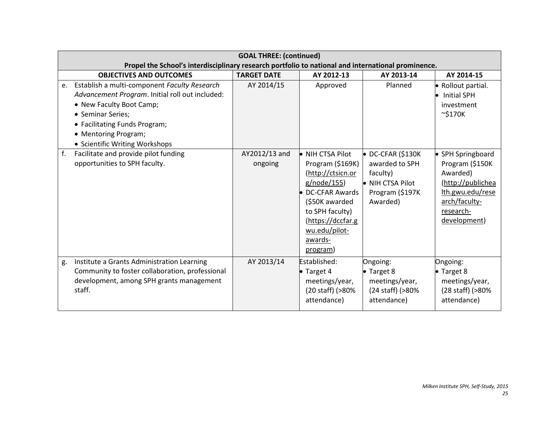|    | <b>GOAL THREE: (continued)</b>                                                                                                                      |                          |                                                                                                                                                                              |                                                                                                          |                                                                                                                                         |  |
|----|-----------------------------------------------------------------------------------------------------------------------------------------------------|--------------------------|------------------------------------------------------------------------------------------------------------------------------------------------------------------------------|----------------------------------------------------------------------------------------------------------|-----------------------------------------------------------------------------------------------------------------------------------------|--|
|    | Propel the School's interdisciplinary research portfolio to national and international prominence.                                                  |                          |                                                                                                                                                                              |                                                                                                          |                                                                                                                                         |  |
|    | <b>OBJECTIVES AND OUTCOMES</b>                                                                                                                      | <b>TARGET DATE</b>       | AY 2012-13                                                                                                                                                                   | AY 2013-14                                                                                               | AY 2014-15                                                                                                                              |  |
| e. | Establish a multi-component Faculty Research                                                                                                        | AY 2014/15               | Approved                                                                                                                                                                     | Planned                                                                                                  | • Rollout partial.                                                                                                                      |  |
|    | Advancement Program. Initial roll out included:                                                                                                     |                          |                                                                                                                                                                              |                                                                                                          | <b>Initial SPH</b>                                                                                                                      |  |
|    | • New Faculty Boot Camp;                                                                                                                            |                          |                                                                                                                                                                              |                                                                                                          | investment                                                                                                                              |  |
|    | • Seminar Series;                                                                                                                                   |                          |                                                                                                                                                                              |                                                                                                          | $\sim$ \$170K                                                                                                                           |  |
|    | • Facilitating Funds Program;                                                                                                                       |                          |                                                                                                                                                                              |                                                                                                          |                                                                                                                                         |  |
|    | • Mentoring Program;                                                                                                                                |                          |                                                                                                                                                                              |                                                                                                          |                                                                                                                                         |  |
|    | • Scientific Writing Workshops                                                                                                                      |                          |                                                                                                                                                                              |                                                                                                          |                                                                                                                                         |  |
| f. | Facilitate and provide pilot funding<br>opportunities to SPH faculty.                                                                               | AY2012/13 and<br>ongoing | • NIH CTSA Pilot<br>Program (\$169K)<br>(http://ctsicn.or<br>g/node/155)<br><b>DC-CFAR Awards</b><br>(\$50K awarded<br>to SPH faculty)<br>(https://dccfar.g<br>wu.edu/pilot- | $\bullet$ DC-CFAR (\$130K<br>awarded to SPH<br>faculty)<br>NIH CTSA Pilot<br>Program (\$197K<br>Awarded) | • SPH Springboard<br>Program (\$150K<br>Awarded)<br>(http://publichea<br>Ith.gwu.edu/rese<br>arch/faculty-<br>research-<br>development) |  |
| g. | Institute a Grants Administration Learning<br>Community to foster collaboration, professional<br>development, among SPH grants management<br>staff. | AY 2013/14               | awards-<br>program)<br>Established:<br>$\bullet$ Target 4<br>meetings/year,<br>(20 staff) (>80%<br>attendance)                                                               | Ongoing:<br>$\bullet$ Target 8<br>meetings/year,<br>(24 staff) (>80%<br>attendance)                      | Ongoing:<br>$\bullet$ Target 8<br>meetings/year,<br>(28 staff) (>80%<br>attendance)                                                     |  |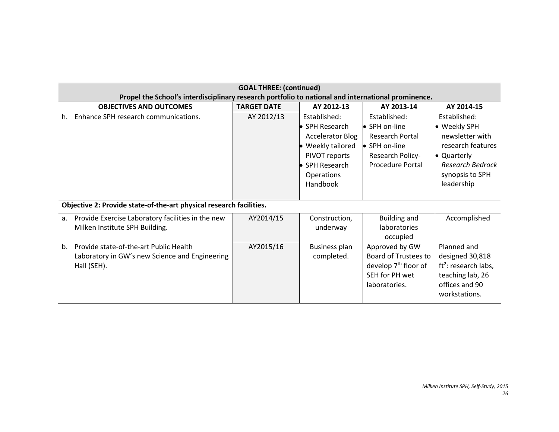|             | <b>GOAL THREE: (continued)</b><br>Propel the School's interdisciplinary research portfolio to national and international prominence. |                    |                         |                             |                                  |  |
|-------------|--------------------------------------------------------------------------------------------------------------------------------------|--------------------|-------------------------|-----------------------------|----------------------------------|--|
|             |                                                                                                                                      |                    |                         |                             |                                  |  |
|             | <b>OBJECTIVES AND OUTCOMES</b>                                                                                                       | <b>TARGET DATE</b> | AY 2012-13              | AY 2013-14                  | AY 2014-15                       |  |
| h.          | Enhance SPH research communications.                                                                                                 | AY 2012/13         | Established:            | Established:                | Established:                     |  |
|             |                                                                                                                                      |                    | • SPH Research          | SPH on-line                 | • Weekly SPH                     |  |
|             |                                                                                                                                      |                    | <b>Accelerator Blog</b> | Research Portal             | newsletter with                  |  |
|             |                                                                                                                                      |                    | Weekly tailored         | • SPH on-line               | research features                |  |
|             |                                                                                                                                      |                    | PIVOT reports           | Research Policy-            | • Quarterly                      |  |
|             |                                                                                                                                      |                    | ▶ SPH Research          | <b>Procedure Portal</b>     | <b>Research Bedrock</b>          |  |
|             |                                                                                                                                      |                    | <b>Operations</b>       |                             | synopsis to SPH                  |  |
|             |                                                                                                                                      |                    | Handbook                |                             | leadership                       |  |
|             |                                                                                                                                      |                    |                         |                             |                                  |  |
|             | Objective 2: Provide state-of-the-art physical research facilities.                                                                  |                    |                         |                             |                                  |  |
| a.          | Provide Exercise Laboratory facilities in the new                                                                                    | AY2014/15          | Construction,           | <b>Building and</b>         | Accomplished                     |  |
|             | Milken Institute SPH Building.                                                                                                       |                    | underway                | laboratories                |                                  |  |
|             |                                                                                                                                      |                    |                         | occupied                    |                                  |  |
| b.          | Provide state-of-the-art Public Health                                                                                               | AY2015/16          | <b>Business plan</b>    | Approved by GW              | Planned and                      |  |
|             | Laboratory in GW's new Science and Engineering                                                                                       |                    | completed.              | <b>Board of Trustees to</b> | designed 30,818                  |  |
| Hall (SEH). |                                                                                                                                      |                    |                         | develop $7th$ floor of      | ft <sup>2</sup> : research labs, |  |
|             |                                                                                                                                      |                    |                         | SFH for PH wet              | teaching lab, 26                 |  |
|             |                                                                                                                                      |                    |                         | laboratories.               | offices and 90                   |  |
|             |                                                                                                                                      |                    |                         |                             | workstations.                    |  |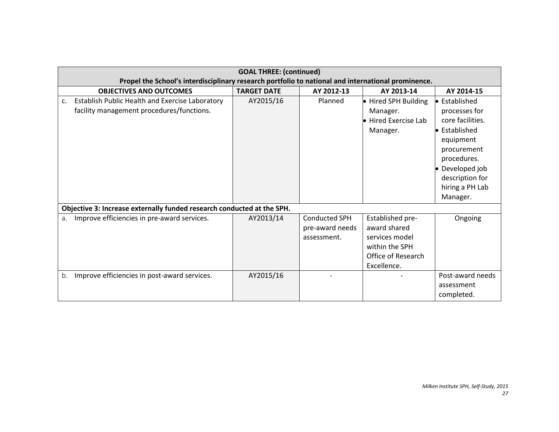| <b>GOAL THREE: (continued)</b>                                                                     |                    |                                                 |                                                                                                           |                                                                                                                                                                                     |  |
|----------------------------------------------------------------------------------------------------|--------------------|-------------------------------------------------|-----------------------------------------------------------------------------------------------------------|-------------------------------------------------------------------------------------------------------------------------------------------------------------------------------------|--|
| Propel the School's interdisciplinary research portfolio to national and international prominence. |                    |                                                 |                                                                                                           |                                                                                                                                                                                     |  |
| <b>OBJECTIVES AND OUTCOMES</b>                                                                     | <b>TARGET DATE</b> | AY 2012-13                                      | AY 2013-14                                                                                                | AY 2014-15                                                                                                                                                                          |  |
| Establish Public Health and Exercise Laboratory<br>c.<br>facility management procedures/functions. | AY2015/16          | Planned                                         | • Hired SPH Building<br>Manager.<br><b>Hired Exercise Lab</b><br>Manager.                                 | • Established<br>processes for<br>core facilities.<br>• Established<br>equipment<br>procurement<br>procedures.<br>• Developed job<br>description for<br>hiring a PH Lab<br>Manager. |  |
| Objective 3: Increase externally funded research conducted at the SPH.                             |                    |                                                 |                                                                                                           |                                                                                                                                                                                     |  |
| Improve efficiencies in pre-award services.<br>a.                                                  | AY2013/14          | Conducted SPH<br>pre-award needs<br>assessment. | Established pre-<br>award shared<br>services model<br>within the SPH<br>Office of Research<br>Excellence. | Ongoing                                                                                                                                                                             |  |
| Improve efficiencies in post-award services.<br>b.                                                 | AY2015/16          |                                                 |                                                                                                           | Post-award needs<br>assessment<br>completed.                                                                                                                                        |  |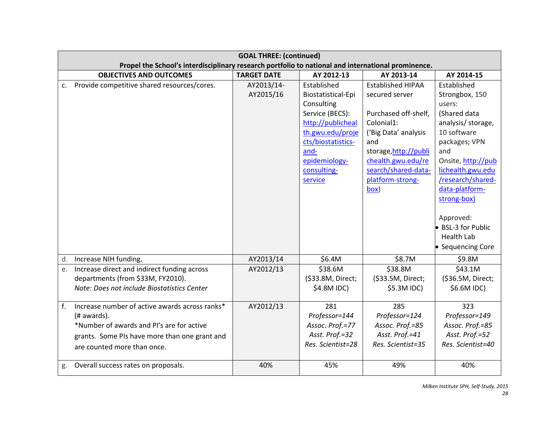| <b>GOAL THREE: (continued)</b><br>Propel the School's interdisciplinary research portfolio to national and international prominence.                                                             |                         |                                                                                                                                                                                      |                                                                                                                                                                                                                   |                                                                                                                                                                                                                                                                                                    |  |  |
|--------------------------------------------------------------------------------------------------------------------------------------------------------------------------------------------------|-------------------------|--------------------------------------------------------------------------------------------------------------------------------------------------------------------------------------|-------------------------------------------------------------------------------------------------------------------------------------------------------------------------------------------------------------------|----------------------------------------------------------------------------------------------------------------------------------------------------------------------------------------------------------------------------------------------------------------------------------------------------|--|--|
| <b>OBJECTIVES AND OUTCOMES</b>                                                                                                                                                                   | <b>TARGET DATE</b>      | AY 2012-13                                                                                                                                                                           | AY 2013-14                                                                                                                                                                                                        | AY 2014-15                                                                                                                                                                                                                                                                                         |  |  |
| Provide competitive shared resources/cores.<br>c.                                                                                                                                                | AY2013/14-<br>AY2015/16 | Established<br>Biostatistical-Epi<br>Consulting<br>Service (BECS):<br>http://publicheal<br>th.gwu.edu/proje<br>cts/biostatistics-<br>and-<br>epidemiology-<br>consulting-<br>service | <b>Established HIPAA</b><br>secured server<br>Purchased off-shelf,<br>Colonial1:<br>('Big Data' analysis<br>and<br>storage, http://publi<br>chealth.gwu.edu/re<br>search/shared-data-<br>platform-strong-<br>box) | Established<br>Strongbox, 150<br>users:<br>(Shared data<br>analysis/ storage,<br>10 software<br>packages; VPN<br>and<br>Onsite, http://pub<br>lichealth.gwu.edu<br>/research/shared-<br>data-platform-<br>strong-box)<br>Approved:<br>• BSL-3 for Public<br><b>Health Lab</b><br>• Sequencing Core |  |  |
| Increase NIH funding.<br>d.                                                                                                                                                                      | AY2013/14               | \$6.4M                                                                                                                                                                               | \$8.7M                                                                                                                                                                                                            | \$9.8M                                                                                                                                                                                                                                                                                             |  |  |
| Increase direct and indirect funding across<br>e.<br>departments (from \$33M, FY2010).<br>Note: Does not include Biostatistics Center                                                            | AY2012/13               | \$38.6M<br>(\$33.8M, Direct;<br>\$4.8M IDC)                                                                                                                                          | \$38.8M<br>(\$33.5M, Direct;<br>\$5.3M IDC)                                                                                                                                                                       | \$43.1M<br>(\$36.5M, Direct;<br>\$6.6M IDC)                                                                                                                                                                                                                                                        |  |  |
| f.<br>Increase number of active awards across ranks*<br>(# awards).<br>*Number of awards and PI's are for active<br>grants. Some PIs have more than one grant and<br>are counted more than once. | AY2012/13               | 281<br>Professor=144<br>Assoc. Prof.=77<br>Asst. Prof.=32<br>Res. Scientist=28                                                                                                       | 285<br>Professor=124<br>Assoc. Prof.=85<br>Asst. Prof.=41<br>Res. Scientist=35                                                                                                                                    | 323<br>Professor=149<br>Assoc. Prof.=85<br>Asst. Prof.=52<br>Res. Scientist=40<br>40%                                                                                                                                                                                                              |  |  |
| g. Overall success rates on proposals.                                                                                                                                                           | 40%                     | 45%                                                                                                                                                                                  | 49%                                                                                                                                                                                                               |                                                                                                                                                                                                                                                                                                    |  |  |

*Milken Institute SPH, Self-Study, 2015*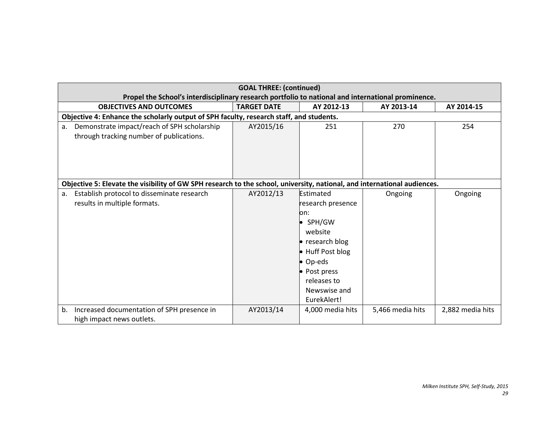| <b>GOAL THREE: (continued)</b>                                                                                           |                    |                   |                  |                  |  |  |  |
|--------------------------------------------------------------------------------------------------------------------------|--------------------|-------------------|------------------|------------------|--|--|--|
| Propel the School's interdisciplinary research portfolio to national and international prominence.                       |                    |                   |                  |                  |  |  |  |
| <b>OBJECTIVES AND OUTCOMES</b>                                                                                           | <b>TARGET DATE</b> | AY 2012-13        | AY 2013-14       | AY 2014-15       |  |  |  |
| Objective 4: Enhance the scholarly output of SPH faculty, research staff, and students.                                  |                    |                   |                  |                  |  |  |  |
| Demonstrate impact/reach of SPH scholarship<br>a.                                                                        | AY2015/16          | 251               | 270              | 254              |  |  |  |
| through tracking number of publications.                                                                                 |                    |                   |                  |                  |  |  |  |
|                                                                                                                          |                    |                   |                  |                  |  |  |  |
|                                                                                                                          |                    |                   |                  |                  |  |  |  |
|                                                                                                                          |                    |                   |                  |                  |  |  |  |
|                                                                                                                          |                    |                   |                  |                  |  |  |  |
| Objective 5: Elevate the visibility of GW SPH research to the school, university, national, and international audiences. |                    |                   |                  |                  |  |  |  |
| Establish protocol to disseminate research<br>a.                                                                         | AY2012/13          | Estimated         | Ongoing          | Ongoing          |  |  |  |
| results in multiple formats.                                                                                             |                    | research presence |                  |                  |  |  |  |
|                                                                                                                          |                    | on:               |                  |                  |  |  |  |
|                                                                                                                          |                    | • SPH/GW          |                  |                  |  |  |  |
|                                                                                                                          |                    | website           |                  |                  |  |  |  |
|                                                                                                                          |                    | • research blog   |                  |                  |  |  |  |
|                                                                                                                          |                    | • Huff Post blog  |                  |                  |  |  |  |
|                                                                                                                          |                    | • Op-eds          |                  |                  |  |  |  |
|                                                                                                                          |                    | • Post press      |                  |                  |  |  |  |
|                                                                                                                          |                    | releases to       |                  |                  |  |  |  |
|                                                                                                                          |                    | Newswise and      |                  |                  |  |  |  |
|                                                                                                                          |                    | EurekAlert!       |                  |                  |  |  |  |
| Increased documentation of SPH presence in<br>b.                                                                         | AY2013/14          | 4,000 media hits  | 5,466 media hits | 2,882 media hits |  |  |  |
| high impact news outlets.                                                                                                |                    |                   |                  |                  |  |  |  |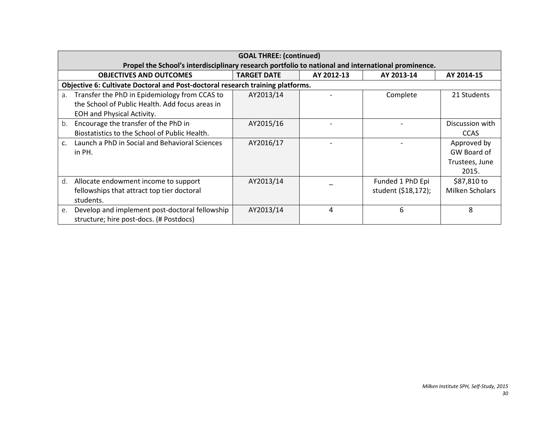|    | <b>GOAL THREE: (continued)</b>                                                                     |                    |                |                     |                 |  |  |  |
|----|----------------------------------------------------------------------------------------------------|--------------------|----------------|---------------------|-----------------|--|--|--|
|    | Propel the School's interdisciplinary research portfolio to national and international prominence. |                    |                |                     |                 |  |  |  |
|    | <b>OBJECTIVES AND OUTCOMES</b>                                                                     | <b>TARGET DATE</b> | AY 2012-13     | AY 2013-14          | AY 2014-15      |  |  |  |
|    | Objective 6: Cultivate Doctoral and Post-doctoral research training platforms.                     |                    |                |                     |                 |  |  |  |
| a. | Transfer the PhD in Epidemiology from CCAS to                                                      | AY2013/14          |                | Complete            | 21 Students     |  |  |  |
|    | the School of Public Health. Add focus areas in                                                    |                    |                |                     |                 |  |  |  |
|    | EOH and Physical Activity.                                                                         |                    |                |                     |                 |  |  |  |
| b. | Encourage the transfer of the PhD in                                                               | AY2015/16          |                |                     | Discussion with |  |  |  |
|    | Biostatistics to the School of Public Health.                                                      |                    |                |                     | <b>CCAS</b>     |  |  |  |
| C. | Launch a PhD in Social and Behavioral Sciences                                                     | AY2016/17          |                |                     | Approved by     |  |  |  |
|    | in PH.                                                                                             |                    |                |                     | GW Board of     |  |  |  |
|    |                                                                                                    |                    |                |                     | Trustees, June  |  |  |  |
|    |                                                                                                    |                    |                |                     | 2015.           |  |  |  |
| d. | Allocate endowment income to support                                                               | AY2013/14          |                | Funded 1 PhD Epi    | \$87,810 to     |  |  |  |
|    | fellowships that attract top tier doctoral                                                         |                    |                | student (\$18,172); | Milken Scholars |  |  |  |
|    | students.                                                                                          |                    |                |                     |                 |  |  |  |
| e. | Develop and implement post-doctoral fellowship                                                     | AY2013/14          | $\overline{4}$ | 6                   | 8               |  |  |  |
|    | structure; hire post-docs. (# Postdocs)                                                            |                    |                |                     |                 |  |  |  |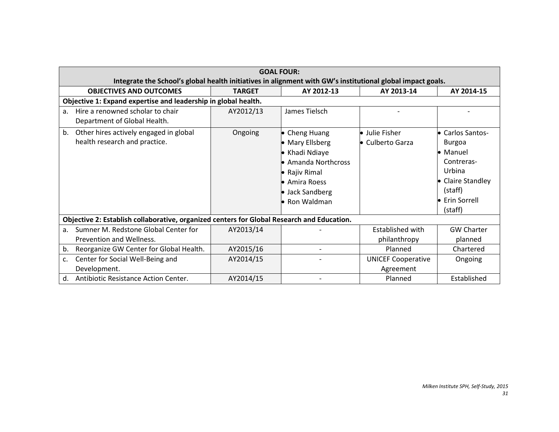|                | <b>GOAL FOUR:</b>                                                                                          |               |                       |                           |                   |  |  |  |  |
|----------------|------------------------------------------------------------------------------------------------------------|---------------|-----------------------|---------------------------|-------------------|--|--|--|--|
|                | Integrate the School's global health initiatives in alignment with GW's institutional global impact goals. |               |                       |                           |                   |  |  |  |  |
|                | <b>OBJECTIVES AND OUTCOMES</b>                                                                             | <b>TARGET</b> | AY 2012-13            | AY 2013-14                | AY 2014-15        |  |  |  |  |
|                | Objective 1: Expand expertise and leadership in global health.                                             |               |                       |                           |                   |  |  |  |  |
| a.             | Hire a renowned scholar to chair                                                                           | AY2012/13     | James Tielsch         |                           |                   |  |  |  |  |
|                | Department of Global Health.                                                                               |               |                       |                           |                   |  |  |  |  |
| b.             | Other hires actively engaged in global                                                                     | Ongoing       | • Cheng Huang         | • Julie Fisher            | • Carlos Santos-  |  |  |  |  |
|                | health research and practice.                                                                              |               | • Mary Ellsberg       | • Culberto Garza          | <b>Burgoa</b>     |  |  |  |  |
|                |                                                                                                            |               | Khadi Ndiaye          |                           | • Manuel          |  |  |  |  |
|                |                                                                                                            |               | • Amanda Northcross   |                           | Contreras-        |  |  |  |  |
|                |                                                                                                            |               | $\bullet$ Rajiv Rimal |                           | Urbina            |  |  |  |  |
|                |                                                                                                            |               | $\bullet$ Amira Roess |                           | • Claire Standley |  |  |  |  |
|                |                                                                                                            |               | • Jack Sandberg       |                           | (staff)           |  |  |  |  |
|                |                                                                                                            |               | $\bullet$ Ron Waldman |                           | Erin Sorrell      |  |  |  |  |
|                |                                                                                                            |               |                       |                           | (staff)           |  |  |  |  |
|                | Objective 2: Establish collaborative, organized centers for Global Research and Education.                 |               |                       |                           |                   |  |  |  |  |
| a.             | Sumner M. Redstone Global Center for                                                                       | AY2013/14     |                       | Established with          | <b>GW Charter</b> |  |  |  |  |
|                | Prevention and Wellness.                                                                                   |               |                       | philanthropy              | planned           |  |  |  |  |
| b.             | Reorganize GW Center for Global Health.                                                                    | AY2015/16     |                       | Planned                   | Chartered         |  |  |  |  |
| $\mathsf{C}$ . | Center for Social Well-Being and                                                                           | AY2014/15     |                       | <b>UNICEF Cooperative</b> | Ongoing           |  |  |  |  |
|                | Development.                                                                                               |               |                       | Agreement                 |                   |  |  |  |  |
| d.             | Antibiotic Resistance Action Center.                                                                       | AY2014/15     |                       | Planned                   | Established       |  |  |  |  |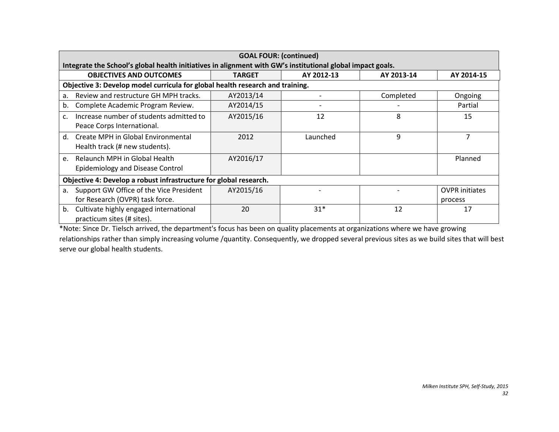|         | <b>GOAL FOUR: (continued)</b><br>Integrate the School's global health initiatives in alignment with GW's institutional global impact goals. |           |          |           |                       |  |  |  |
|---------|---------------------------------------------------------------------------------------------------------------------------------------------|-----------|----------|-----------|-----------------------|--|--|--|
|         | <b>OBJECTIVES AND OUTCOMES</b><br>AY 2012-13<br>AY 2013-14<br><b>TARGET</b><br>AY 2014-15                                                   |           |          |           |                       |  |  |  |
|         | Objective 3: Develop model curricula for global health research and training.                                                               |           |          |           |                       |  |  |  |
| a.      | Review and restructure GH MPH tracks.                                                                                                       | AY2013/14 |          | Completed | Ongoing               |  |  |  |
| b.      | Complete Academic Program Review.                                                                                                           | AY2014/15 |          |           | Partial               |  |  |  |
| C.      | Increase number of students admitted to<br>Peace Corps International.                                                                       | AY2015/16 | 12       | 8         | 15                    |  |  |  |
| $d_{-}$ | Create MPH in Global Environmental<br>Health track (# new students).                                                                        | 2012      | Launched | 9         | $\overline{ }$        |  |  |  |
| e.      | Relaunch MPH in Global Health<br><b>Epidemiology and Disease Control</b>                                                                    | AY2016/17 |          |           | Planned               |  |  |  |
|         | Objective 4: Develop a robust infrastructure for global research.                                                                           |           |          |           |                       |  |  |  |
| a.      | Support GW Office of the Vice President                                                                                                     | AY2015/16 |          |           | <b>OVPR</b> initiates |  |  |  |
|         | for Research (OVPR) task force.                                                                                                             |           |          |           | process               |  |  |  |
| b.      | Cultivate highly engaged international<br>practicum sites (# sites).                                                                        | 20        | $31*$    | 12        | 17                    |  |  |  |

\*Note: Since Dr. Tielsch arrived, the department's focus has been on quality placements at organizations where we have growing relationships rather than simply increasing volume /quantity. Consequently, we dropped several previous sites as we build sites that will best serve our global health students.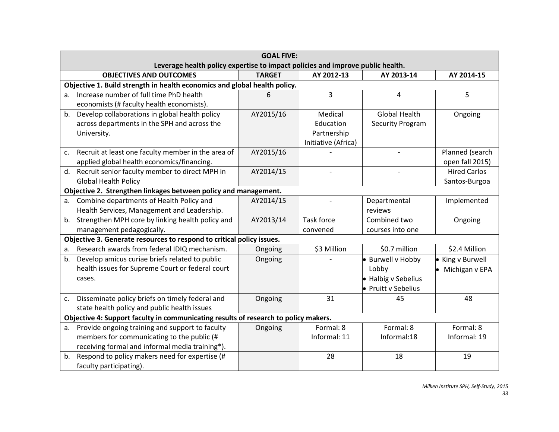|                | <b>GOAL FIVE:</b>                                                                   |               |                     |                         |                     |  |
|----------------|-------------------------------------------------------------------------------------|---------------|---------------------|-------------------------|---------------------|--|
|                | Leverage health policy expertise to impact policies and improve public health.      |               |                     |                         |                     |  |
|                | <b>OBJECTIVES AND OUTCOMES</b>                                                      | <b>TARGET</b> | AY 2012-13          | AY 2013-14              | AY 2014-15          |  |
|                | Objective 1. Build strength in health economics and global health policy.           |               |                     |                         |                     |  |
| a <sub>r</sub> | Increase number of full time PhD health                                             | 6             | $\overline{3}$      | 4                       | 5                   |  |
|                | economists (# faculty health economists).                                           |               |                     |                         |                     |  |
| b.             | Develop collaborations in global health policy                                      | AY2015/16     | Medical             | <b>Global Health</b>    | Ongoing             |  |
|                | across departments in the SPH and across the                                        |               | Education           | <b>Security Program</b> |                     |  |
|                | University.                                                                         |               | Partnership         |                         |                     |  |
|                |                                                                                     |               | Initiative (Africa) |                         |                     |  |
| c.             | Recruit at least one faculty member in the area of                                  | AY2015/16     |                     |                         | Planned (search     |  |
|                | applied global health economics/financing.                                          |               |                     |                         | open fall 2015)     |  |
|                | d. Recruit senior faculty member to direct MPH in                                   | AY2014/15     | $\overline{a}$      |                         | <b>Hired Carlos</b> |  |
|                | <b>Global Health Policy</b>                                                         |               |                     |                         | Santos-Burgoa       |  |
|                | Objective 2. Strengthen linkages between policy and management.                     |               |                     |                         |                     |  |
| a.             | Combine departments of Health Policy and                                            | AY2014/15     |                     | Departmental            | Implemented         |  |
|                | Health Services, Management and Leadership.                                         |               |                     | reviews                 |                     |  |
|                | b. Strengthen MPH core by linking health policy and                                 | AY2013/14     | Task force          | Combined two            | Ongoing             |  |
|                | management pedagogically.                                                           |               | convened            | courses into one        |                     |  |
|                | Objective 3. Generate resources to respond to critical policy issues.               |               |                     |                         |                     |  |
| a.             | Research awards from federal IDIQ mechanism.                                        | Ongoing       | \$3 Million         | \$0.7 million           | \$2.4 Million       |  |
| b.             | Develop amicus curiae briefs related to public                                      | Ongoing       |                     | · Burwell v Hobby       | • King v Burwell    |  |
|                | health issues for Supreme Court or federal court                                    |               |                     | Lobby                   | • Michigan v EPA    |  |
|                | cases.                                                                              |               |                     | • Halbig v Sebelius     |                     |  |
|                |                                                                                     |               |                     | • Pruitt v Sebelius     |                     |  |
| c.             | Disseminate policy briefs on timely federal and                                     | Ongoing       | 31                  | 45                      | 48                  |  |
|                | state health policy and public health issues                                        |               |                     |                         |                     |  |
|                | Objective 4: Support faculty in communicating results of research to policy makers. |               |                     |                         |                     |  |
| a.             | Provide ongoing training and support to faculty                                     | Ongoing       | Formal: 8           | Formal: 8               | Formal: 8           |  |
|                | members for communicating to the public (#                                          |               | Informal: 11        | Informal:18             | Informal: 19        |  |
|                | receiving formal and informal media training*).                                     |               |                     |                         |                     |  |
| b.             | Respond to policy makers need for expertise (#                                      |               | 28                  | 18                      | 19                  |  |
|                | faculty participating).                                                             |               |                     |                         |                     |  |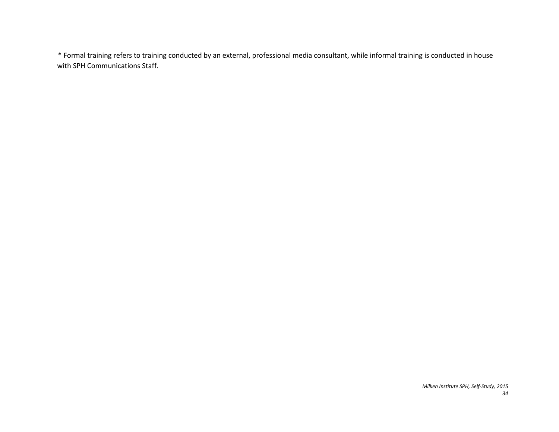\* Formal training refers to training conducted by an external, professional media consultant, while informal training is conducted in house with SPH Communications Staff.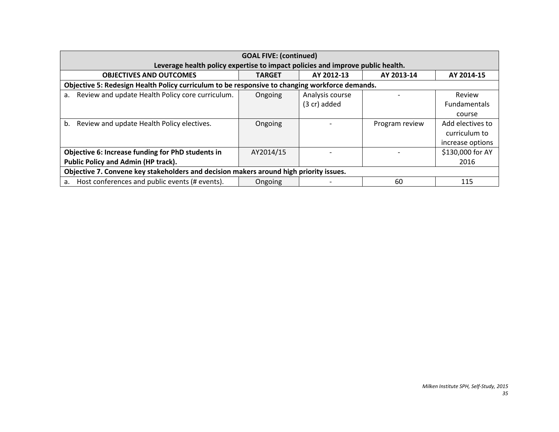| <b>GOAL FIVE: (continued)</b>                                                                  |               |                 |                |                     |  |
|------------------------------------------------------------------------------------------------|---------------|-----------------|----------------|---------------------|--|
| Leverage health policy expertise to impact policies and improve public health.                 |               |                 |                |                     |  |
| <b>OBJECTIVES AND OUTCOMES</b>                                                                 | <b>TARGET</b> | AY 2012-13      | AY 2013-14     | AY 2014-15          |  |
| Objective 5: Redesign Health Policy curriculum to be responsive to changing workforce demands. |               |                 |                |                     |  |
| Review and update Health Policy core curriculum.<br>a.                                         | Ongoing       | Analysis course |                | Review              |  |
|                                                                                                |               | (3 cr) added    |                | <b>Fundamentals</b> |  |
|                                                                                                |               |                 |                | course              |  |
| Review and update Health Policy electives.<br>b.                                               | Ongoing       |                 | Program review | Add electives to    |  |
|                                                                                                |               |                 |                | curriculum to       |  |
|                                                                                                |               |                 |                | increase options    |  |
| Objective 6: Increase funding for PhD students in                                              | AY2014/15     |                 |                | \$130,000 for AY    |  |
| <b>Public Policy and Admin (HP track).</b>                                                     |               |                 |                | 2016                |  |
| Objective 7. Convene key stakeholders and decision makers around high priority issues.         |               |                 |                |                     |  |
| Host conferences and public events (# events).<br>a.                                           | Ongoing       |                 | 60             | 115                 |  |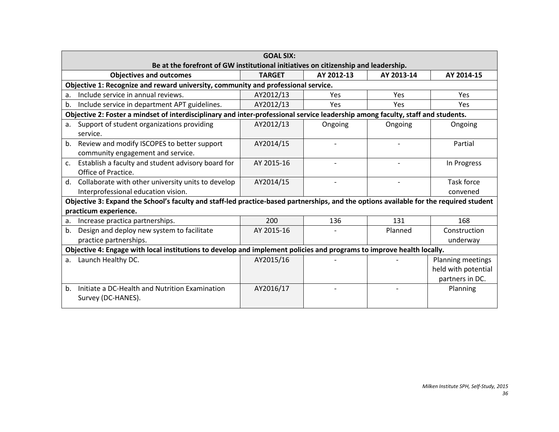|                | <b>GOAL SIX:</b>                                                                                                                       |               |            |            |                     |  |  |
|----------------|----------------------------------------------------------------------------------------------------------------------------------------|---------------|------------|------------|---------------------|--|--|
|                | Be at the forefront of GW institutional initiatives on citizenship and leadership.                                                     |               |            |            |                     |  |  |
|                | <b>Objectives and outcomes</b>                                                                                                         | <b>TARGET</b> | AY 2012-13 | AY 2013-14 | AY 2014-15          |  |  |
|                | Objective 1: Recognize and reward university, community and professional service.                                                      |               |            |            |                     |  |  |
| a.             | Include service in annual reviews.                                                                                                     | AY2012/13     | <b>Yes</b> | Yes        | Yes                 |  |  |
| b.             | Include service in department APT guidelines.                                                                                          | AY2012/13     | <b>Yes</b> | Yes        | <b>Yes</b>          |  |  |
|                | Objective 2: Foster a mindset of interdisciplinary and inter-professional service leadership among faculty, staff and students.        |               |            |            |                     |  |  |
| а.             | Support of student organizations providing                                                                                             | AY2012/13     | Ongoing    | Ongoing    | Ongoing             |  |  |
|                | service.                                                                                                                               |               |            |            |                     |  |  |
| $b_{-}$        | Review and modify ISCOPES to better support                                                                                            | AY2014/15     |            |            | Partial             |  |  |
|                | community engagement and service.                                                                                                      |               |            |            |                     |  |  |
| $\mathsf{C}$ . | Establish a faculty and student advisory board for                                                                                     | AY 2015-16    |            |            | In Progress         |  |  |
|                | Office of Practice.                                                                                                                    |               |            |            |                     |  |  |
|                | d. Collaborate with other university units to develop                                                                                  | AY2014/15     |            |            | <b>Task force</b>   |  |  |
|                | Interprofessional education vision.                                                                                                    |               |            |            | convened            |  |  |
|                | Objective 3: Expand the School's faculty and staff-led practice-based partnerships, and the options available for the required student |               |            |            |                     |  |  |
|                | practicum experience.                                                                                                                  |               |            |            |                     |  |  |
| a.             | Increase practica partnerships.                                                                                                        | 200           | 136        | 131        | 168                 |  |  |
| $b_{-}$        | Design and deploy new system to facilitate                                                                                             | AY 2015-16    |            | Planned    | Construction        |  |  |
|                | practice partnerships.                                                                                                                 |               |            |            | underway            |  |  |
|                | Objective 4: Engage with local institutions to develop and implement policies and programs to improve health locally.                  |               |            |            |                     |  |  |
| a.             | Launch Healthy DC.                                                                                                                     | AY2015/16     |            |            | Planning meetings   |  |  |
|                |                                                                                                                                        |               |            |            | held with potential |  |  |
|                |                                                                                                                                        |               |            |            | partners in DC.     |  |  |
| b.             | Initiate a DC-Health and Nutrition Examination                                                                                         | AY2016/17     |            |            | Planning            |  |  |
|                | Survey (DC-HANES).                                                                                                                     |               |            |            |                     |  |  |
|                |                                                                                                                                        |               |            |            |                     |  |  |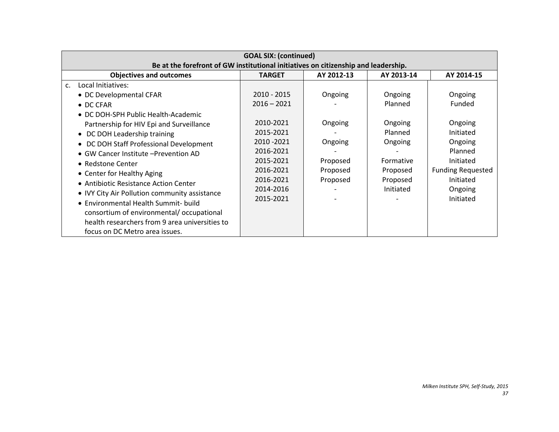| <b>GOAL SIX: (continued)</b>                                                                                                                                                                                                                                                                                                                                                                                                                                                           |                                                                                                                     |                                                        |                                                                                 |                                                                                                                          |  |  |
|----------------------------------------------------------------------------------------------------------------------------------------------------------------------------------------------------------------------------------------------------------------------------------------------------------------------------------------------------------------------------------------------------------------------------------------------------------------------------------------|---------------------------------------------------------------------------------------------------------------------|--------------------------------------------------------|---------------------------------------------------------------------------------|--------------------------------------------------------------------------------------------------------------------------|--|--|
| Be at the forefront of GW institutional initiatives on citizenship and leadership.                                                                                                                                                                                                                                                                                                                                                                                                     |                                                                                                                     |                                                        |                                                                                 |                                                                                                                          |  |  |
| <b>Objectives and outcomes</b>                                                                                                                                                                                                                                                                                                                                                                                                                                                         | <b>TARGET</b>                                                                                                       | AY 2012-13                                             | AY 2013-14                                                                      | AY 2014-15                                                                                                               |  |  |
| Local Initiatives:<br>$\mathsf{C}$ .                                                                                                                                                                                                                                                                                                                                                                                                                                                   |                                                                                                                     |                                                        |                                                                                 |                                                                                                                          |  |  |
| • DC Developmental CFAR                                                                                                                                                                                                                                                                                                                                                                                                                                                                | $2010 - 2015$                                                                                                       | Ongoing                                                | Ongoing                                                                         | Ongoing                                                                                                                  |  |  |
| • DC CFAR                                                                                                                                                                                                                                                                                                                                                                                                                                                                              | $2016 - 2021$                                                                                                       |                                                        | Planned                                                                         | Funded                                                                                                                   |  |  |
| • DC DOH-SPH Public Health-Academic<br>Partnership for HIV Epi and Surveillance<br>• DC DOH Leadership training<br>• DC DOH Staff Professional Development<br>• GW Cancer Institute - Prevention AD<br>• Redstone Center<br>• Center for Healthy Aging<br>• Antibiotic Resistance Action Center<br>• IVY City Air Pollution community assistance<br>• Environmental Health Summit- build<br>consortium of environmental/occupational<br>health researchers from 9 area universities to | 2010-2021<br>2015-2021<br>2010 - 2021<br>2016-2021<br>2015-2021<br>2016-2021<br>2016-2021<br>2014-2016<br>2015-2021 | Ongoing<br>Ongoing<br>Proposed<br>Proposed<br>Proposed | Ongoing<br>Planned<br>Ongoing<br>Formative<br>Proposed<br>Proposed<br>Initiated | Ongoing<br>Initiated<br>Ongoing<br>Planned<br>Initiated<br><b>Funding Requested</b><br>Initiated<br>Ongoing<br>Initiated |  |  |
| focus on DC Metro area issues.                                                                                                                                                                                                                                                                                                                                                                                                                                                         |                                                                                                                     |                                                        |                                                                                 |                                                                                                                          |  |  |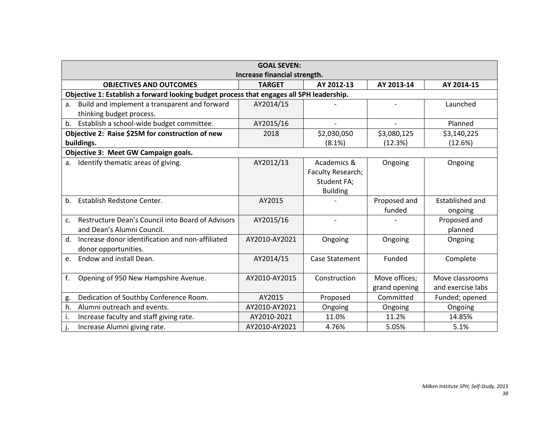| <b>GOAL SEVEN:</b><br>Increase financial strength.              |                                                                                          |                          |               |                   |  |  |  |  |
|-----------------------------------------------------------------|------------------------------------------------------------------------------------------|--------------------------|---------------|-------------------|--|--|--|--|
| <b>OBJECTIVES AND OUTCOMES</b>                                  | <b>TARGET</b>                                                                            | AY 2012-13               | AY 2013-14    | AY 2014-15        |  |  |  |  |
|                                                                 | Objective 1: Establish a forward looking budget process that engages all SPH leadership. |                          |               |                   |  |  |  |  |
| Build and implement a transparent and forward<br>a.             | AY2014/15                                                                                |                          |               | Launched          |  |  |  |  |
| thinking budget process.                                        |                                                                                          |                          |               |                   |  |  |  |  |
| Establish a school-wide budget committee.<br>b.                 | AY2015/16                                                                                |                          |               | Planned           |  |  |  |  |
| Objective 2: Raise \$25M for construction of new                | 2018                                                                                     | \$2,030,050              | \$3,080,125   | \$3,140,225       |  |  |  |  |
| buildings.                                                      |                                                                                          | (8.1%)                   | (12.3%)       | (12.6%)           |  |  |  |  |
| Objective 3: Meet GW Campaign goals.                            |                                                                                          |                          |               |                   |  |  |  |  |
| Identify thematic areas of giving.<br>a.                        | AY2012/13                                                                                | Academics &              | Ongoing       | Ongoing           |  |  |  |  |
|                                                                 |                                                                                          | Faculty Research;        |               |                   |  |  |  |  |
|                                                                 |                                                                                          | Student FA;              |               |                   |  |  |  |  |
|                                                                 |                                                                                          | <b>Building</b>          |               |                   |  |  |  |  |
| Establish Redstone Center.<br>b <sub>1</sub>                    | AY2015                                                                                   |                          | Proposed and  | Established and   |  |  |  |  |
|                                                                 |                                                                                          |                          | funded        | ongoing           |  |  |  |  |
| Restructure Dean's Council into Board of Advisors<br>c.         | AY2015/16                                                                                | $\overline{\phantom{a}}$ |               | Proposed and      |  |  |  |  |
| and Dean's Alumni Council.                                      |                                                                                          |                          |               | planned           |  |  |  |  |
| Increase donor identification and non-affiliated<br>$d_{\cdot}$ | AY2010-AY2021                                                                            | Ongoing                  | Ongoing       | Ongoing           |  |  |  |  |
| donor opportunities.                                            |                                                                                          |                          |               |                   |  |  |  |  |
| Endow and install Dean.<br>e.                                   | AY2014/15                                                                                | Case Statement           | Funded        | Complete          |  |  |  |  |
|                                                                 |                                                                                          |                          |               |                   |  |  |  |  |
| f.<br>Opening of 950 New Hampshire Avenue.                      | AY2010-AY2015                                                                            | Construction             | Move offices; | Move classrooms   |  |  |  |  |
|                                                                 |                                                                                          |                          | grand opening | and exercise labs |  |  |  |  |
| Dedication of Southby Conference Room.<br>g.                    | AY2015                                                                                   | Proposed                 | Committed     | Funded; opened    |  |  |  |  |
| Alumni outreach and events.<br>h.                               | AY2010-AY2021                                                                            | Ongoing                  | Ongoing       | Ongoing           |  |  |  |  |
| Increase faculty and staff giving rate.                         | AY2010-2021                                                                              | 11.0%                    | 11.2%         | 14.85%            |  |  |  |  |
| Increase Alumni giving rate.                                    | AY2010-AY2021                                                                            | 4.76%                    | 5.05%         | 5.1%              |  |  |  |  |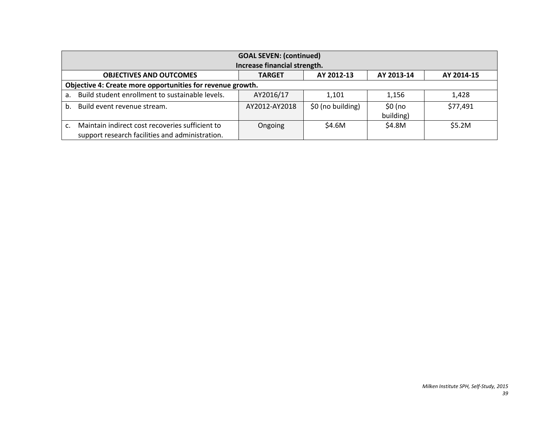| <b>GOAL SEVEN: (continued)</b><br>Increase financial strength.                                     |               |                   |                       |            |  |
|----------------------------------------------------------------------------------------------------|---------------|-------------------|-----------------------|------------|--|
| <b>OBJECTIVES AND OUTCOMES</b>                                                                     | <b>TARGET</b> | AY 2012-13        | AY 2013-14            | AY 2014-15 |  |
| Objective 4: Create more opportunities for revenue growth.                                         |               |                   |                       |            |  |
| Build student enrollment to sustainable levels.<br>a <sub>1</sub>                                  | AY2016/17     | 1,101             | 1,156                 | 1,428      |  |
| Build event revenue stream.<br>b.                                                                  | AY2012-AY2018 | \$0 (no building) | $$0$ (no<br>building) | \$77,491   |  |
| Maintain indirect cost recoveries sufficient to<br>support research facilities and administration. | Ongoing       | \$4.6M            | \$4.8M                | \$5.2M     |  |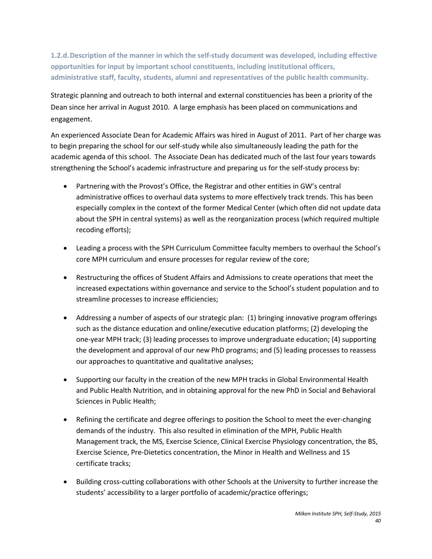**1.2.d.Description of the manner in which the self-study document was developed, including effective opportunities for input by important school constituents, including institutional officers, administrative staff, faculty, students, alumni and representatives of the public health community.**

Strategic planning and outreach to both internal and external constituencies has been a priority of the Dean since her arrival in August 2010. A large emphasis has been placed on communications and engagement.

An experienced Associate Dean for Academic Affairs was hired in August of 2011. Part of her charge was to begin preparing the school for our self-study while also simultaneously leading the path for the academic agenda of this school. The Associate Dean has dedicated much of the last four years towards strengthening the School's academic infrastructure and preparing us for the self-study process by:

- Partnering with the Provost's Office, the Registrar and other entities in GW's central administrative offices to overhaul data systems to more effectively track trends. This has been especially complex in the context of the former Medical Center (which often did not update data about the SPH in central systems) as well as the reorganization process (which required multiple recoding efforts);
- Leading a process with the SPH Curriculum Committee faculty members to overhaul the School's core MPH curriculum and ensure processes for regular review of the core;
- Restructuring the offices of Student Affairs and Admissions to create operations that meet the increased expectations within governance and service to the School's student population and to streamline processes to increase efficiencies;
- Addressing a number of aspects of our strategic plan: (1) bringing innovative program offerings such as the distance education and online/executive education platforms; (2) developing the one-year MPH track; (3) leading processes to improve undergraduate education; (4) supporting the development and approval of our new PhD programs; and (5) leading processes to reassess our approaches to quantitative and qualitative analyses;
- Supporting our faculty in the creation of the new MPH tracks in Global Environmental Health and Public Health Nutrition, and in obtaining approval for the new PhD in Social and Behavioral Sciences in Public Health;
- Refining the certificate and degree offerings to position the School to meet the ever-changing demands of the industry. This also resulted in elimination of the MPH, Public Health Management track, the MS, Exercise Science, Clinical Exercise Physiology concentration, the BS, Exercise Science, Pre-Dietetics concentration, the Minor in Health and Wellness and 15 certificate tracks;
- Building cross-cutting collaborations with other Schools at the University to further increase the students' accessibility to a larger portfolio of academic/practice offerings;